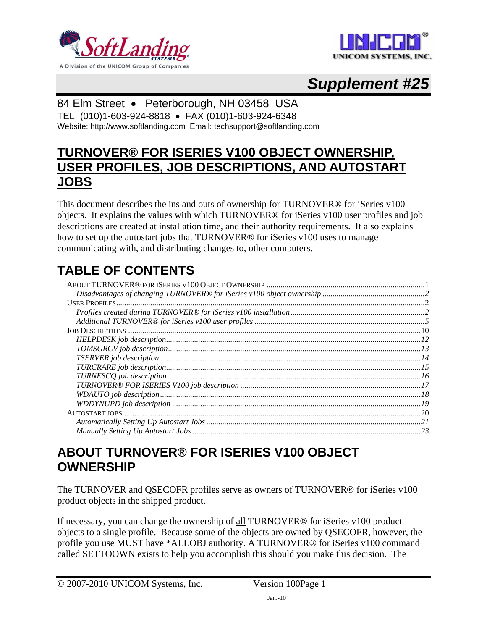<span id="page-0-0"></span>



# *Supplement #25*

# 84 Elm Street • Peterborough, NH 03458 USA

TEL (010)1-603-924-8818 • FAX (010)1-603-924-6348 Website: http://www.softlanding.com Email: techsupport@softlanding.com

# **TURNOVER® FOR ISERIES V100 OBJECT OWNERSHIP, USER PROFILES, JOB DESCRIPTIONS, AND AUTOSTART JOBS**

This document describes the ins and outs of ownership for TURNOVER® for iSeries v100 objects. It explains the values with which TURNOVER® for iSeries v100 user profiles and job descriptions are created at installation time, and their authority requirements. It also explains how to set up the autostart jobs that TURNOVER® for iSeries v100 uses to manage communicating with, and distributing changes to, other computers.

# **TABLE OF CONTENTS**

| $TOMSGRCV job description$<br>$I3$ |  |
|------------------------------------|--|
|                                    |  |
|                                    |  |
|                                    |  |
|                                    |  |
|                                    |  |
|                                    |  |
|                                    |  |
|                                    |  |
|                                    |  |
|                                    |  |

# <span id="page-0-1"></span>**ABOUT TURNOVER® FOR ISERIES V100 OBJECT OWNERSHIP**

The TURNOVER and QSECOFR profiles serve as owners of TURNOVER® for iSeries v100 product objects in the shipped product.

If necessary, you can change the ownership of all TURNOVER® for iSeries v100 product objects to a single profile. Because some of the objects are owned by QSECOFR, however, the profile you use MUST have \*ALLOBJ authority. A TURNOVER® for iSeries v100 command called SETTOOWN exists to help you accomplish this should you make this decision. The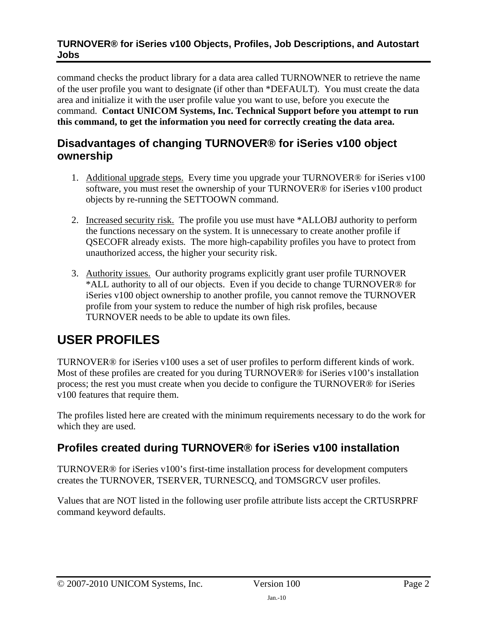<span id="page-1-0"></span>command checks the product library for a data area called TURNOWNER to retrieve the name of the user profile you want to designate (if other than \*DEFAULT). You must create the data area and initialize it with the user profile value you want to use, before you execute the command. **Contact UNICOM Systems, Inc. Technical Support before you attempt to run this command, to get the information you need for correctly creating the data area.**

# <span id="page-1-1"></span>**Disadvantages of changing TURNOVER® for iSeries v100 object ownership**

- 1. Additional upgrade steps. Every time you upgrade your TURNOVER® for iSeries v100 software, you must reset the ownership of your TURNOVER® for iSeries v100 product objects by re-running the SETTOOWN command.
- 2. Increased security risk. The profile you use must have \*ALLOBJ authority to perform the functions necessary on the system. It is unnecessary to create another profile if QSECOFR already exists. The more high-capability profiles you have to protect from unauthorized access, the higher your security risk.
- 3. Authority issues. Our authority programs explicitly grant user profile TURNOVER \*ALL authority to all of our objects. Even if you decide to change TURNOVER® for iSeries v100 object ownership to another profile, you cannot remove the TURNOVER profile from your system to reduce the number of high risk profiles, because TURNOVER needs to be able to update its own files.

# <span id="page-1-2"></span>**USER PROFILES**

TURNOVER® for iSeries v100 uses a set of user profiles to perform different kinds of work. Most of these profiles are created for you during TURNOVER® for iSeries v100's installation process; the rest you must create when you decide to configure the TURNOVER® for iSeries v100 features that require them.

The profiles listed here are created with the minimum requirements necessary to do the work for which they are used.

# <span id="page-1-3"></span>**Profiles created during TURNOVER® for iSeries v100 installation**

TURNOVER® for iSeries v100's first-time installation process for development computers creates the TURNOVER, TSERVER, TURNESCQ, and TOMSGRCV user profiles.

Values that are NOT listed in the following user profile attribute lists accept the CRTUSRPRF command keyword defaults.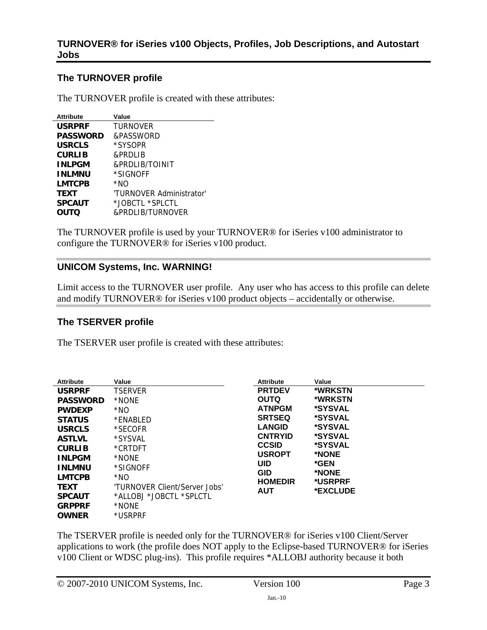# **The TURNOVER profile**

The TURNOVER profile is created with these attributes:

| <b>Attribute</b> | Value                    |
|------------------|--------------------------|
| <b>USRPRF</b>    | <b>TURNOVER</b>          |
| <b>PASSWORD</b>  | &PASSWORD                |
| <b>USRCLS</b>    | *SYSOPR                  |
| <b>CURLIB</b>    | &PRDI IB                 |
| <b>INLPGM</b>    | &PRDLIB/TOINIT           |
| <b>INLMNU</b>    | *SIGNOFF                 |
| <b>LMTCPB</b>    | *NO                      |
| <b>TEXT</b>      | 'TURNOVER Administrator' |
| <b>SPCAUT</b>    | *JOBCTL *SPLCTL          |
| <b>OUTQ</b>      | &PRDLIB/TURNOVER         |

The TURNOVER profile is used by your TURNOVER® for iSeries v100 administrator to configure the TURNOVER® for iSeries v100 product.

## **UNICOM Systems, Inc. WARNING!**

Limit access to the TURNOVER user profile. Any user who has access to this profile can delete and modify TURNOVER® for iSeries v100 product objects – accidentally or otherwise.

# **The TSERVER profile**

The TSERVER user profile is created with these attributes:

| <b>Attribute</b> | Value                         | <b>Attribute</b> | Value                 |
|------------------|-------------------------------|------------------|-----------------------|
| <b>USRPRF</b>    | <b>TSERVER</b>                | <b>PRTDEV</b>    | *WRKSTN               |
| <b>PASSWORD</b>  | *NONE                         | <b>OUTQ</b>      | *WRKSTN               |
| <b>PWDEXP</b>    | *NO                           | <b>ATNPGM</b>    | *SYSVAL               |
| <b>STATUS</b>    | *ENABLED                      | <b>SRTSEQ</b>    | *SYSVAL               |
| <b>USRCLS</b>    | *SECOFR                       | <b>LANGID</b>    | <i><b>*SYSVAL</b></i> |
| <b>ASTLVL</b>    | *SYSVAL                       | <b>CNTRYID</b>   | <i><b>*SYSVAL</b></i> |
| <b>CURLIB</b>    | *CRTDFT                       | <b>CCSID</b>     | <i><b>*SYSVAL</b></i> |
| <b>INLPGM</b>    | *NONE                         | <b>USROPT</b>    | *NONE                 |
| <b>INLMNU</b>    | *SIGNOFF                      | <b>UID</b>       | *GEN                  |
| <b>LMTCPB</b>    | *NO                           | <b>GID</b>       | *NONE                 |
| <b>TEXT</b>      | 'TURNOVER Client/Server Jobs' | <b>HOMEDIR</b>   | *USRPRF<br>*EXCLUDE   |
| <b>SPCAUT</b>    | *ALLOBJ *JOBCTL *SPLCTL       | AUT              |                       |
| <b>GRPPRF</b>    | *NONE                         |                  |                       |
| <b>OWNER</b>     | *USRPRF                       |                  |                       |

The TSERVER profile is needed only for the TURNOVER® for iSeries v100 Client/Server applications to work (the profile does NOT apply to the Eclipse-based TURNOVER® for iSeries v100 Client or WDSC plug-ins). This profile requires \*ALLOBJ authority because it both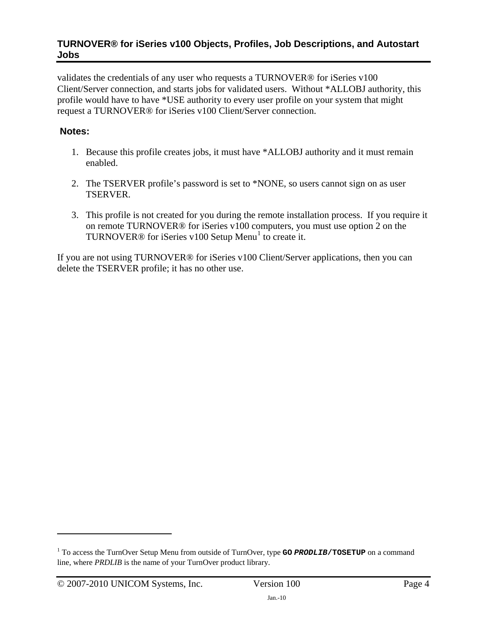validates the credentials of any user who requests a TURNOVER® for iSeries v100 Client/Server connection, and starts jobs for validated users. Without \*ALLOBJ authority, this profile would have to have \*USE authority to every user profile on your system that might request a TURNOVER® for iSeries v100 Client/Server connection.

# **Notes:**

- 1. Because this profile creates jobs, it must have \*ALLOBJ authority and it must remain enabled.
- 2. The TSERVER profile's password is set to \*NONE, so users cannot sign on as user TSERVER.
- 3. This profile is not created for you during the remote installation process. If you require it on remote TURNOVER® for iSeries v100 computers, you must use option 2 on the TURNOVER $@$  for iSeries v[1](#page-3-0)00 Setup Menu<sup>1</sup> to create it.

<span id="page-3-1"></span>If you are not using TURNOVER® for iSeries v100 Client/Server applications, then you can delete the TSERVER profile; it has no other use.

<span id="page-3-0"></span><sup>&</sup>lt;sup>1</sup> To access the TurnOver Setup Menu from outside of TurnOver, type **GO** *PRODLIB*/TOSETUP on a command line, where *PRDLIB* is the name of your TurnOver product library.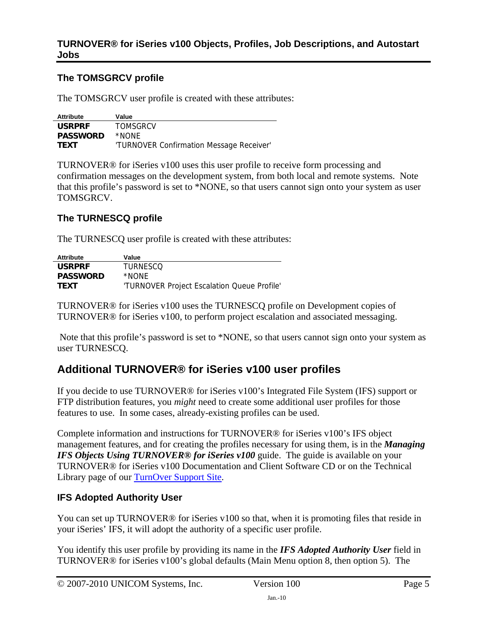# <span id="page-4-0"></span>**The TOMSGRCV profile**

The TOMSGRCV user profile is created with these attributes:

| Attribute       | Value                                    |
|-----------------|------------------------------------------|
| <b>USRPRF</b>   | <b>TOMSGRCV</b>                          |
| <b>PASSWORD</b> | *NONF                                    |
| <b>TEXT</b>     | 'TURNOVER Confirmation Message Receiver' |

TURNOVER® for iSeries v100 uses this user profile to receive form processing and confirmation messages on the development system, from both local and remote systems. Note that this profile's password is set to \*NONE, so that users cannot sign onto your system as user TOMSGRCV.

# **The TURNESCQ profile**

The TURNESCQ user profile is created with these attributes:

| Attribute       | Value                                       |
|-----------------|---------------------------------------------|
| <b>USRPRF</b>   | TURNESCO                                    |
| <b>PASSWORD</b> | *NONF                                       |
| <b>TEXT</b>     | 'TURNOVER Project Escalation Queue Profile' |

TURNOVER® for iSeries v100 uses the TURNESCQ profile on Development copies of TURNOVER® for iSeries v100, to perform project escalation and associated messaging.

 Note that this profile's password is set to \*NONE, so that users cannot sign onto your system as user TURNESCQ.

# <span id="page-4-1"></span>**Additional TURNOVER® for iSeries v100 user profiles**

If you decide to use TURNOVER® for iSeries v100's Integrated File System (IFS) support or FTP distribution features, you *might* need to create some additional user profiles for those features to use. In some cases, already-existing profiles can be used.

Complete information and instructions for TURNOVER® for iSeries v100's IFS object management features, and for creating the profiles necessary for using them, is in the *Managing IFS Objects Using TURNOVER<sup>®</sup> for iSeries v100* **guide. The guide is available on your** TURNOVER® for iSeries v100 Documentation and Client Software CD or on the Technical Library page of our [TurnOver Support Site.](https://support.softlanding.com/)

# **IFS Adopted Authority User**

You can set up TURNOVER<sup>®</sup> for iSeries v100 so that, when it is promoting files that reside in your iSeries' IFS, it will adopt the authority of a specific user profile.

You identify this user profile by providing its name in the *IFS Adopted Authority User* field in TURNOVER® for iSeries v100's global defaults (Main Menu option 8, then option 5). The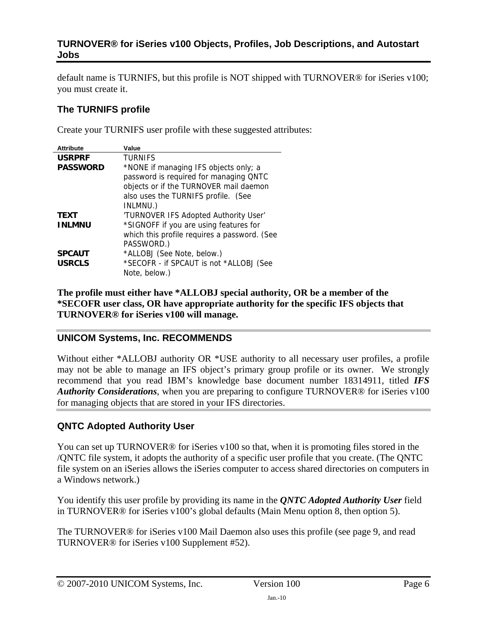default name is TURNIFS, but this profile is NOT shipped with TURNOVER® for iSeries v100; you must create it.

# **The TURNIFS profile**

Create your TURNIFS user profile with these suggested attributes:

| <b>Attribute</b> | Value                                        |
|------------------|----------------------------------------------|
| <b>USRPRF</b>    | <b>TURNIFS</b>                               |
| <b>PASSWORD</b>  | *NONE if managing IFS objects only; a        |
|                  | password is required for managing QNTC       |
|                  | objects or if the TURNOVER mail daemon       |
|                  | also uses the TURNIFS profile. (See          |
|                  | INLMNU.)                                     |
| <b>TEXT</b>      | 'TURNOVER IFS Adopted Authority User'        |
| <b>INLMNU</b>    | *SIGNOFF if you are using features for       |
|                  | which this profile requires a password. (See |
|                  | PASSWORD.)                                   |
| <b>SPCAUT</b>    | *ALLOBJ (See Note, below.)                   |
| <b>USRCLS</b>    | *SECOFR - if SPCAUT is not *ALLOBJ (See      |
|                  | Note, below.)                                |

**The profile must either have \*ALLOBJ special authority, OR be a member of the \*SECOFR user class, OR have appropriate authority for the specific IFS objects that TURNOVER® for iSeries v100 will manage.**

# **UNICOM Systems, Inc. RECOMMENDS**

Without either \*ALLOBJ authority OR \*USE authority to all necessary user profiles, a profile may not be able to manage an IFS object's primary group profile or its owner. We strongly recommend that you read IBM's knowledge base document number 18314911, titled *IFS Authority Considerations*, when you are preparing to configure TURNOVER® for iSeries v100 for managing objects that are stored in your IFS directories.

# **QNTC Adopted Authority User**

You can set up TURNOVER<sup>®</sup> for iSeries v100 so that, when it is promoting files stored in the /QNTC file system, it adopts the authority of a specific user profile that you create. (The QNTC file system on an iSeries allows the iSeries computer to access shared directories on computers in a Windows network.)

You identify this user profile by providing its name in the *QNTC Adopted Authority User* field in TURNOVER® for iSeries v100's global defaults (Main Menu option 8, then option 5).

The TURNOVER® for iSeries v100 Mail Daemon also uses this profile (see page [9](#page-8-0), and read TURNOVER® for iSeries v100 Supplement #52).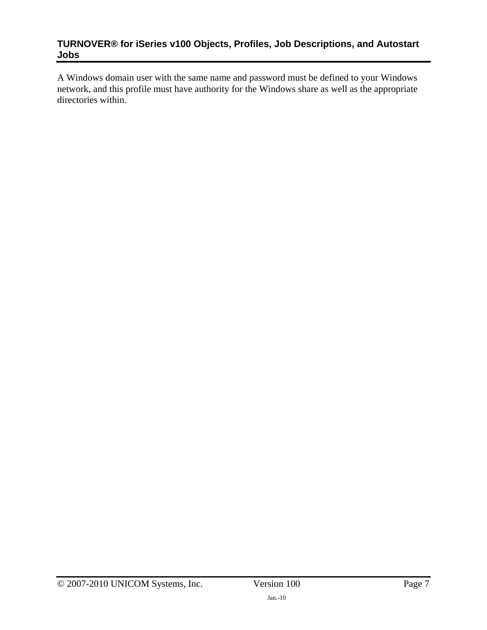A Windows domain user with the same name and password must be defined to your Windows network, and this profile must have authority for the Windows share as well as the appropriate directories within.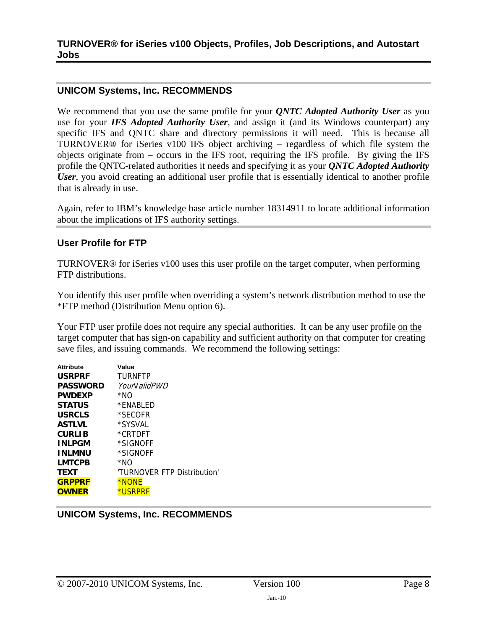#### **UNICOM Systems, Inc. RECOMMENDS**

We recommend that you use the same profile for your *QNTC Adopted Authority User* as you use for your *IFS Adopted Authority User*, and assign it (and its Windows counterpart) any specific IFS and QNTC share and directory permissions it will need. This is because all TURNOVER® for iSeries v100 IFS object archiving – regardless of which file system the objects originate from – occurs in the IFS root, requiring the IFS profile. By giving the IFS profile the QNTC-related authorities it needs and specifying it as your *QNTC Adopted Authority User*, you avoid creating an additional user profile that is essentially identical to another profile that is already in use.

Again, refer to IBM's knowledge base article number 18314911 to locate additional information about the implications of IFS authority settings.

## **User Profile for FTP**

TURNOVER® for iSeries v100 uses this user profile on the target computer, when performing FTP distributions.

You identify this user profile when overriding a system's network distribution method to use the \*FTP method (Distribution Menu option 6).

Your FTP user profile does not require any special authorities. It can be any user profile on the target computer that has sign-on capability and sufficient authority on that computer for creating save files, and issuing commands. We recommend the following settings:

| <b>Attribute</b> | Value                       |
|------------------|-----------------------------|
| <b>USRPRF</b>    | TURNFTP                     |
| <b>PASSWORD</b>  | YourN alidPWD               |
| <b>PWDEXP</b>    | *NO                         |
| <b>STATUS</b>    | *FNABI FD                   |
| <b>USRCLS</b>    | *SECOFR                     |
| <b>ASTLVL</b>    | *SYSVAL                     |
| <b>CURLIB</b>    | *CRTDFT                     |
| <b>INLPGM</b>    | *SIGNOFF                    |
| <b>INLMNU</b>    | *SIGNOFF                    |
| <b>LMTCPB</b>    | *NO                         |
| TEXT             | 'TURNOVER FTP Distribution' |
| <b>GRPPRF</b>    | <b>*NONE</b>                |
| <b>OWNER</b>     | *USRPRF                     |

**UNICOM Systems, Inc. RECOMMENDS**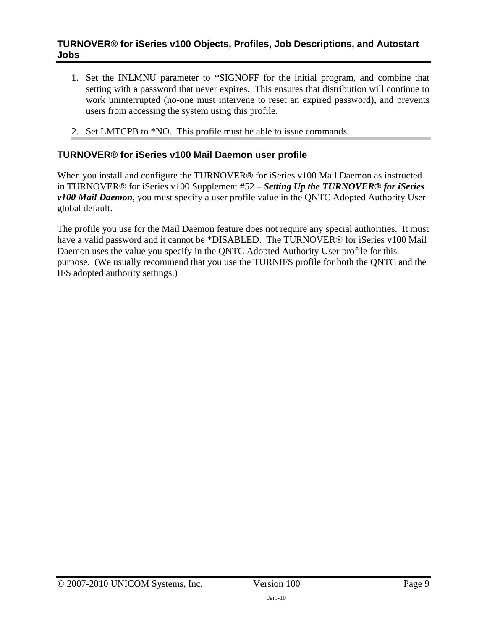- <span id="page-8-0"></span>1. Set the INLMNU parameter to \*SIGNOFF for the initial program, and combine that setting with a password that never expires. This ensures that distribution will continue to work uninterrupted (no-one must intervene to reset an expired password), and prevents users from accessing the system using this profile.
- 2. Set LMTCPB to \*NO. This profile must be able to issue commands.

# **TURNOVER® for iSeries v100 Mail Daemon user profile**

When you install and configure the TURNOVER<sup>®</sup> for iSeries v100 Mail Daemon as instructed in TURNOVER® for iSeries v100 Supplement #52 – *Setting Up the TURNOVER® for iSeries v100 Mail Daemon*, you must specify a user profile value in the QNTC Adopted Authority User global default.

The profile you use for the Mail Daemon feature does not require any special authorities. It must have a valid password and it cannot be \*DISABLED. The TURNOVER® for iSeries v100 Mail Daemon uses the value you specify in the QNTC Adopted Authority User profile for this purpose. (We usually recommend that you use the TURNIFS profile for both the QNTC and the IFS adopted authority settings.)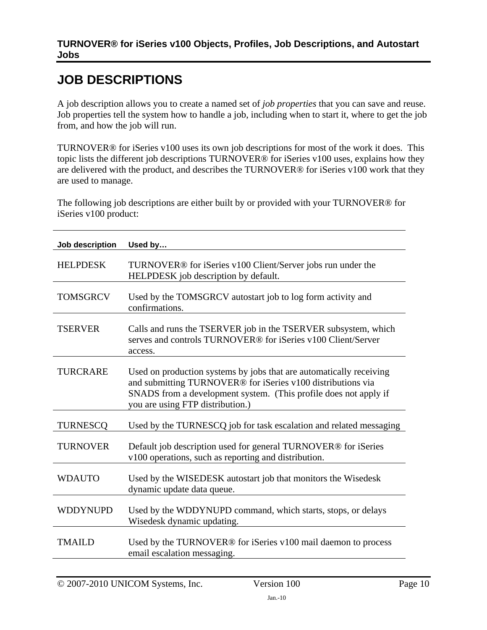# <span id="page-9-1"></span><span id="page-9-0"></span>**JOB DESCRIPTIONS**

A job description allows you to create a named set of *job properties* that you can save and reuse. Job properties tell the system how to handle a job, including when to start it, where to get the job from, and how the job will run.

TURNOVER® for iSeries v100 uses its own job descriptions for most of the work it does. This topic lists the different job descriptions TURNOVER® for iSeries v100 uses, explains how they are delivered with the product, and describes the TURNOVER® for iSeries v100 work that they are used to manage.

The following job descriptions are either built by or provided with your TURNOVER® for iSeries v100 product:

| Job description | Used by                                                                                                                                                                                                                                    |
|-----------------|--------------------------------------------------------------------------------------------------------------------------------------------------------------------------------------------------------------------------------------------|
| <b>HELPDESK</b> | TURNOVER <sup>®</sup> for iSeries v100 Client/Server jobs run under the<br>HELPDESK job description by default.                                                                                                                            |
| <b>TOMSGRCV</b> | Used by the TOMSGRCV autostart job to log form activity and<br>confirmations.                                                                                                                                                              |
| <b>TSERVER</b>  | Calls and runs the TSERVER job in the TSERVER subsystem, which<br>serves and controls TURNOVER® for iSeries v100 Client/Server<br>access.                                                                                                  |
| <b>TURCRARE</b> | Used on production systems by jobs that are automatically receiving<br>and submitting TURNOVER® for iSeries v100 distributions via<br>SNADS from a development system. (This profile does not apply if<br>you are using FTP distribution.) |
| <b>TURNESCO</b> | Used by the TURNESCQ job for task escalation and related messaging                                                                                                                                                                         |
| <b>TURNOVER</b> | Default job description used for general TURNOVER <sup>®</sup> for iSeries<br>v100 operations, such as reporting and distribution.                                                                                                         |
| <b>WDAUTO</b>   | Used by the WISEDESK autostart job that monitors the Wisedesk<br>dynamic update data queue.                                                                                                                                                |
| <b>WDDYNUPD</b> | Used by the WDDYNUPD command, which starts, stops, or delays<br>Wisedesk dynamic updating.                                                                                                                                                 |
| <b>TMAILD</b>   | Used by the TURNOVER® for iSeries v100 mail daemon to process<br>email escalation messaging.                                                                                                                                               |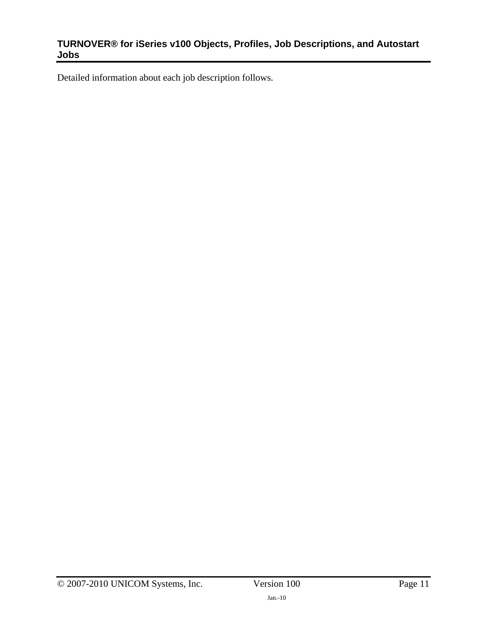Detailed information about each job description follows.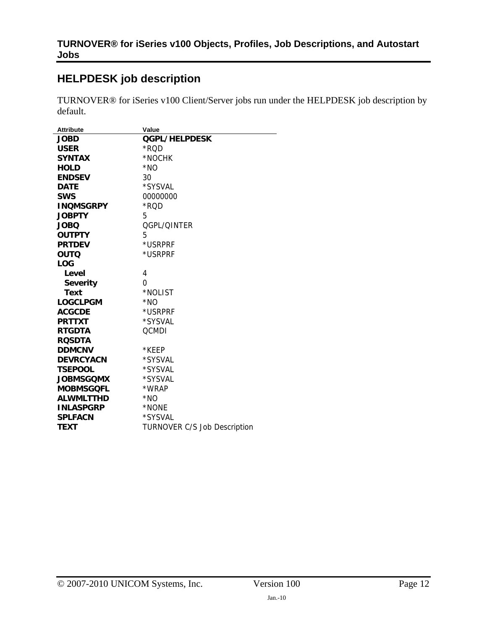# <span id="page-11-1"></span><span id="page-11-0"></span>**HELPDESK job description**

TURNOVER® for iSeries v100 Client/Server jobs run under the HELPDESK job description by default.

| <b>Attribute</b> | Value                               |
|------------------|-------------------------------------|
| <b>JOBD</b>      | <b>QGPL/HELPDESK</b>                |
| <b>USER</b>      | *RQD                                |
| <b>SYNTAX</b>    | *NOCHK                              |
| <b>HOLD</b>      | $*NO$                               |
| <b>ENDSEV</b>    | 30                                  |
| <b>DATE</b>      | *SYSVAL                             |
| <b>SWS</b>       | 00000000                            |
| <b>INQMSGRPY</b> | *RQD                                |
| <b>JOBPTY</b>    | 5                                   |
| <b>JOBQ</b>      | OGPL/OINTER                         |
| <b>OUTPTY</b>    | 5                                   |
| <b>PRTDEV</b>    | *USRPRF                             |
| <b>OUTQ</b>      | *USRPRF                             |
| <b>LOG</b>       |                                     |
| Level            | 4                                   |
| <b>Severity</b>  | 0                                   |
| <b>Text</b>      | *NOLIST                             |
| <b>LOGCLPGM</b>  | *NO                                 |
| <b>ACGCDE</b>    | *USRPRF                             |
| <b>PRTTXT</b>    | *SYSVAL                             |
| <b>RTGDTA</b>    | <b>QCMDI</b>                        |
| <b>ROSDTA</b>    |                                     |
| <b>DDMCNV</b>    | *KEEP                               |
| <b>DEVRCYACN</b> | *SYSVAL                             |
| <b>TSEPOOL</b>   | *SYSVAL                             |
| <b>JOBMSGOMX</b> | *SYSVAL                             |
| <b>MOBMSGQFL</b> | *WRAP                               |
| <b>ALWMLTTHD</b> | $*NO$                               |
| <b>INLASPGRP</b> | *NONE                               |
| <b>SPLFACN</b>   | *SYSVAL                             |
| <b>TEXT</b>      | <b>TURNOVER C/S Job Description</b> |
|                  |                                     |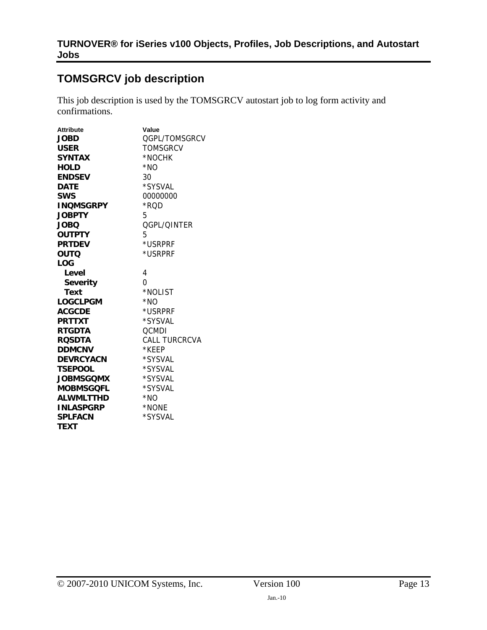# <span id="page-12-1"></span><span id="page-12-0"></span>**TOMSGRCV job description**

This job description is used by the TOMSGRCV autostart job to log form activity and confirmations.

| <b>Attribute</b> | Value                |
|------------------|----------------------|
| <b>JOBD</b>      | OGPL/TOMSGRCV        |
| <b>USER</b>      | <b>TOMSGRCV</b>      |
| <b>SYNTAX</b>    | *NOCHK               |
| <b>HOLD</b>      | $*NO$                |
| <b>ENDSEV</b>    | 30                   |
| <b>DATE</b>      | *SYSVAL              |
| <b>SWS</b>       | 00000000             |
| <b>INQMSGRPY</b> | *ROD                 |
| <b>JOBPTY</b>    | 5                    |
| <b>JOBO</b>      | <b>OGPL/OINTER</b>   |
| <b>OUTPTY</b>    | 5                    |
| <b>PRTDEV</b>    | *USRPRF              |
| <b>OUTQ</b>      | *USRPRF              |
| <b>LOG</b>       |                      |
| Level            | 4                    |
| <b>Severity</b>  | 0                    |
| <b>Text</b>      | *NOLIST              |
| <b>LOGCLPGM</b>  | $*NO$                |
| <b>ACGCDE</b>    | *USRPRF              |
| <b>PRTTXT</b>    | *SYSVAL              |
| <b>RTGDTA</b>    | <b>QCMDI</b>         |
| <b>ROSDTA</b>    | <b>CALL TURCRCVA</b> |
| <b>DDMCNV</b>    | *KFFP                |
| <b>DEVRCYACN</b> | *SYSVAL              |
| <b>TSEPOOL</b>   | *SYSVAL              |
| <b>JOBMSGOMX</b> | *SYSVAL              |
| <b>MOBMSGQFL</b> | *SYSVAL              |
| <b>ALWMLTTHD</b> | $*NO$                |
| <b>INLASPGRP</b> | *NONE                |
| <b>SPLFACN</b>   | *SYSVAL              |
| <b>TEXT</b>      |                      |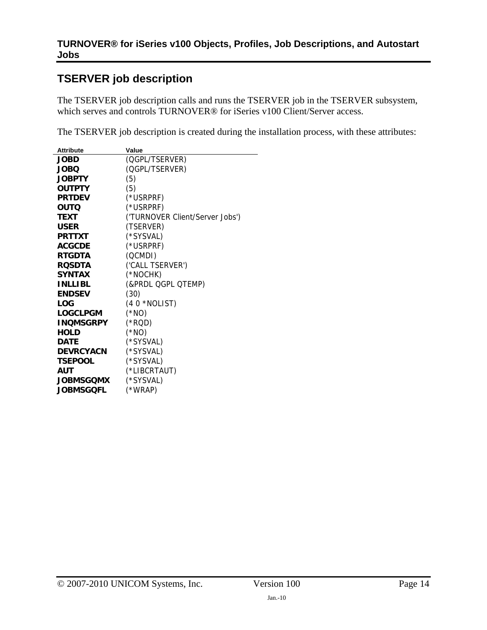# <span id="page-13-1"></span><span id="page-13-0"></span>**TSERVER job description**

The TSERVER job description calls and runs the TSERVER job in the TSERVER subsystem, which serves and controls TURNOVER® for iSeries v100 Client/Server access.

The TSERVER job description is created during the installation process, with these attributes:

| <b>Attribute</b> | Value                           |
|------------------|---------------------------------|
| <b>JOBD</b>      | (QGPL/TSERVER)                  |
| <b>JOBQ</b>      | (QGPL/TSERVER)                  |
| <b>JOBPTY</b>    | (5)                             |
| <b>OUTPTY</b>    | (5)                             |
| <b>PRTDEV</b>    | (*USRPRF)                       |
| <b>OUTQ</b>      | (*USRPRF)                       |
| <b>TEXT</b>      | ('TURNOVER Client/Server Jobs') |
| <b>USER</b>      | (TSERVER)                       |
| <b>PRTTXT</b>    | (*SYSVAL)                       |
| <b>ACGCDE</b>    | (*USRPRF)                       |
| <b>RTGDTA</b>    | (QCMDI)                         |
| <b>ROSDTA</b>    | ('CALL TSERVER')                |
| <b>SYNTAX</b>    | (*NOCHK)                        |
| <b>INLLIBL</b>   | (&PRDL QGPL QTEMP)              |
| <b>ENDSEV</b>    | (30)                            |
| LOG              | $(40 * NOLIST)$                 |
| <b>LOGCLPGM</b>  | $(*NO)$                         |
| <b>INQMSGRPY</b> | $(*ROD)$                        |
| <b>HOLD</b>      | $(*NO)$                         |
| <b>DATE</b>      | (*SYSVAL)                       |
| <b>DEVRCYACN</b> | (*SYSVAL)                       |
| <b>TSEPOOL</b>   | (*SYSVAL)                       |
| <b>AUT</b>       | (*LIBCRTAUT)                    |
| <b>JOBMSGQMX</b> | (*SYSVAL)                       |
| JOBMSGQFL        | (*WRAP)                         |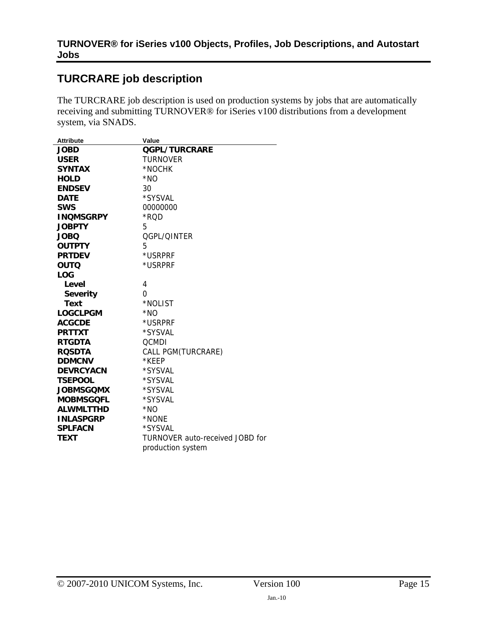# <span id="page-14-1"></span><span id="page-14-0"></span>**TURCRARE job description**

The TURCRARE job description is used on production systems by jobs that are automatically receiving and submitting TURNOVER® for iSeries v100 distributions from a development system, via SNADS.

| <b>Attribute</b> | Value                           |
|------------------|---------------------------------|
| <b>JOBD</b>      | <b>QGPL/TURCRARE</b>            |
| <b>USER</b>      | TURNOVER                        |
| <b>SYNTAX</b>    | *NOCHK                          |
| <b>HOLD</b>      | $*NO$                           |
| <b>ENDSEV</b>    | 30                              |
| <b>DATE</b>      | *SYSVAL                         |
| <b>SWS</b>       | 00000000                        |
| <b>INQMSGRPY</b> | *ROD                            |
| <b>JOBPTY</b>    | 5                               |
| <b>JOBO</b>      | QGPL/QINTER                     |
| <b>OUTPTY</b>    | 5                               |
| <b>PRTDEV</b>    | *USRPRF                         |
| <b>OUTQ</b>      | *USRPRF                         |
| <b>LOG</b>       |                                 |
| Level            | 4                               |
| <b>Severity</b>  | 0                               |
| Text             | *NOLIST                         |
| <b>LOGCLPGM</b>  | *NO                             |
| <b>ACGCDE</b>    | *USRPRF                         |
| <b>PRTTXT</b>    | *SYSVAL                         |
| <b>RTGDTA</b>    | <b>QCMDI</b>                    |
| <b>ROSDTA</b>    | CALL PGM(TURCRARE)              |
| <b>DDMCNV</b>    | *KEEP                           |
| <b>DEVRCYACN</b> | *SYSVAL                         |
| <b>TSEPOOL</b>   | *SYSVAL                         |
| <b>JOBMSGOMX</b> | *SYSVAL                         |
| <b>MOBMSGQFL</b> | *SYSVAL                         |
| <b>ALWMLTTHD</b> | $*NO$                           |
| <b>INLASPGRP</b> | *NONE                           |
| <b>SPLFACN</b>   | *SYSVAL                         |
| <b>TEXT</b>      | TURNOVER auto-received JOBD for |
|                  | production system               |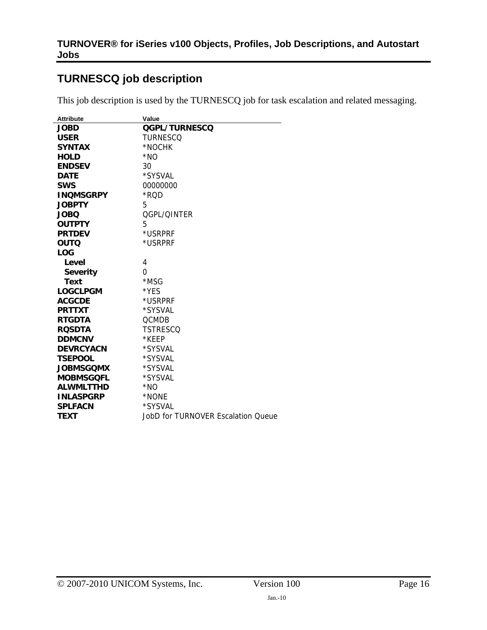# <span id="page-15-1"></span><span id="page-15-0"></span>**TURNESCQ job description**

÷,

This job description is used by the TURNESCQ job for task escalation and related messaging.

| <b>Attribute</b> | Value                              |
|------------------|------------------------------------|
| <b>JOBD</b>      | QGPL/TURNESCQ                      |
| <b>USER</b>      | TURNESCO                           |
| <b>SYNTAX</b>    | *NOCHK                             |
| <b>HOLD</b>      | *NO                                |
| <b>ENDSEV</b>    | 30                                 |
| <b>DATE</b>      | *SYSVAL                            |
| <b>SWS</b>       | 00000000                           |
| <b>INQMSGRPY</b> | *ROD                               |
| <b>JOBPTY</b>    | 5                                  |
| <b>JOBO</b>      | OGPL/OINTER                        |
| <b>OUTPTY</b>    | 5                                  |
| <b>PRTDEV</b>    | *USRPRF                            |
| <b>OUTQ</b>      | *USRPRF                            |
| <b>LOG</b>       |                                    |
| Level            | 4                                  |
| <b>Severity</b>  | 0                                  |
| Text             | *MSG                               |
| <b>LOGCLPGM</b>  | *YES                               |
| <b>ACGCDE</b>    | *USRPRF                            |
| <b>PRTTXT</b>    | *SYSVAL                            |
| <b>RTGDTA</b>    | <b>QCMDB</b>                       |
| <b>ROSDTA</b>    | <b>TSTRESCQ</b>                    |
| <b>DDMCNV</b>    | *KEEP                              |
| <b>DEVRCYACN</b> | *SYSVAL                            |
| <b>TSEPOOL</b>   | *SYSVAL                            |
| <b>JOBMSGOMX</b> | *SYSVAL                            |
| <b>MOBMSGQFL</b> | *SYSVAL                            |
| <b>ALWMLTTHD</b> | *NO                                |
| <b>INLASPGRP</b> | *NONE                              |
| <b>SPLFACN</b>   | *SYSVAL                            |
| <b>TEXT</b>      | JobD for TURNOVER Escalation Queue |
|                  |                                    |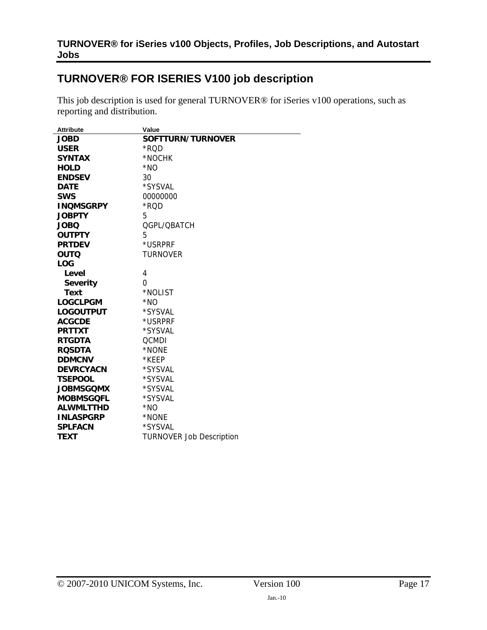# <span id="page-16-1"></span><span id="page-16-0"></span>**TURNOVER® FOR ISERIES V100 job description**

This job description is used for general TURNOVER® for iSeries v100 operations, such as reporting and distribution.

| <b>Attribute</b> | Value                           |
|------------------|---------------------------------|
| <b>JOBD</b>      | SOFTTURN/TURNOVER               |
| <b>USER</b>      | *ROD                            |
| <b>SYNTAX</b>    | *NOCHK                          |
| <b>HOLD</b>      | $*NO$                           |
| <b>ENDSEV</b>    | 30                              |
| <b>DATE</b>      | *SYSVAL                         |
| <b>SWS</b>       | 00000000                        |
| <b>INQMSGRPY</b> | *RQD                            |
| <b>JOBPTY</b>    | 5                               |
| <b>JOBQ</b>      | QGPL/QBATCH                     |
| <b>OUTPTY</b>    | 5                               |
| <b>PRTDEV</b>    | *USRPRF                         |
| <b>OUTQ</b>      | TURNOVER                        |
| <b>LOG</b>       |                                 |
| Level            | 4                               |
| <b>Severity</b>  | 0                               |
| <b>Text</b>      | *NOLIST                         |
| <b>LOGCLPGM</b>  | $*NO$                           |
| <b>LOGOUTPUT</b> | *SYSVAL                         |
| <b>ACGCDE</b>    | *USRPRF                         |
| <b>PRTTXT</b>    | *SYSVAL                         |
| <b>RTGDTA</b>    | <b>OCMDI</b>                    |
| <b>ROSDTA</b>    | *NONE                           |
| <b>DDMCNV</b>    | *KEEP                           |
| <b>DEVRCYACN</b> | *SYSVAL                         |
| <b>TSEPOOL</b>   | *SYSVAL                         |
| <b>JOBMSGQMX</b> | *SYSVAL                         |
| <b>MOBMSGQFL</b> | *SYSVAL                         |
| <b>ALWMLTTHD</b> | $*NO$                           |
| <b>INLASPGRP</b> | *NONE                           |
| <b>SPLFACN</b>   | *SYSVAL                         |
| <b>TEXT</b>      | <b>TURNOVER Job Description</b> |
|                  |                                 |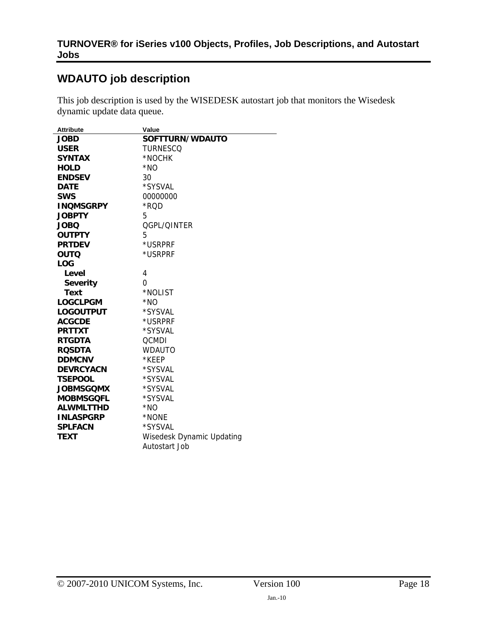# <span id="page-17-1"></span><span id="page-17-0"></span>**WDAUTO job description**

This job description is used by the WISEDESK autostart job that monitors the Wisedesk dynamic update data queue.

| <b>Attribute</b> | Value                     |
|------------------|---------------------------|
| <b>JOBD</b>      | SOFTTURN/WDAUTO           |
| <b>USER</b>      | <b>TURNESCQ</b>           |
| <b>SYNTAX</b>    | *NOCHK                    |
| <b>HOLD</b>      | $*NO$                     |
| <b>ENDSEV</b>    | 30                        |
| <b>DATE</b>      | *SYSVAL                   |
| <b>SWS</b>       | 00000000                  |
| <b>INQMSGRPY</b> | *RQD                      |
| <b>JOBPTY</b>    | 5                         |
| <b>JOBQ</b>      | QGPL/QINTER               |
| <b>OUTPTY</b>    | 5                         |
| <b>PRTDEV</b>    | *USRPRF                   |
| <b>OUTQ</b>      | *USRPRF                   |
| <b>LOG</b>       |                           |
| Level            | 4                         |
| <b>Severity</b>  | 0                         |
| Text             | *NOLIST                   |
| <b>LOGCLPGM</b>  | $*NO$                     |
| <b>LOGOUTPUT</b> | *SYSVAL                   |
| <b>ACGCDE</b>    | *USRPRF                   |
| <b>PRTTXT</b>    | *SYSVAL                   |
| <b>RTGDTA</b>    | <b>QCMDI</b>              |
| <b>ROSDTA</b>    | <b>WDAUTO</b>             |
| <b>DDMCNV</b>    | *KEEP                     |
| <b>DEVRCYACN</b> | *SYSVAL                   |
| <b>TSEPOOL</b>   | *SYSVAL                   |
| <b>JOBMSGOMX</b> | *SYSVAL                   |
| <b>MOBMSGQFL</b> | *SYSVAL                   |
| <b>ALWMLTTHD</b> | $*NO$                     |
| <b>INLASPGRP</b> | *NONE                     |
| <b>SPLFACN</b>   | *SYSVAL                   |
| <b>TEXT</b>      | Wisedesk Dynamic Updating |
|                  | Autostart Job             |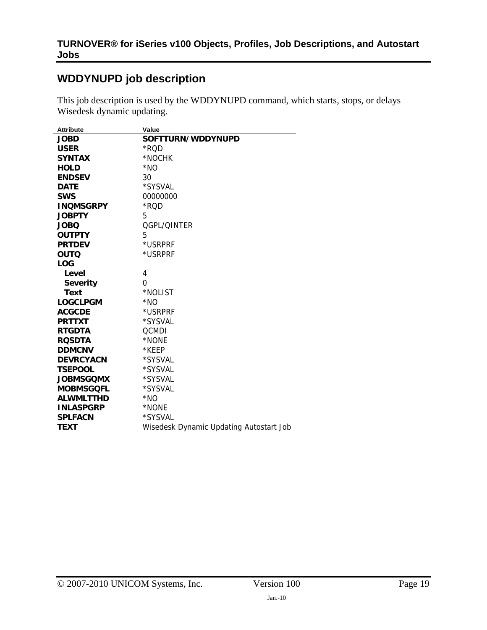# <span id="page-18-1"></span><span id="page-18-0"></span>**WDDYNUPD job description**

This job description is used by the WDDYNUPD command, which starts, stops, or delays Wisedesk dynamic updating.

| <b>Attribute</b> | Value                                   |
|------------------|-----------------------------------------|
| <b>JOBD</b>      | SOFTTURN/WDDYNUPD                       |
| <b>USER</b>      | *RQD                                    |
| <b>SYNTAX</b>    | *NOCHK                                  |
| <b>HOLD</b>      | *NO                                     |
| <b>ENDSEV</b>    | 30                                      |
| <b>DATE</b>      | *SYSVAL                                 |
| <b>SWS</b>       | 00000000                                |
| <b>INQMSGRPY</b> | *RQD                                    |
| <b>JOBPTY</b>    | 5                                       |
| <b>JOBQ</b>      | OGPL/OINTER                             |
| <b>OUTPTY</b>    | 5                                       |
| <b>PRTDEV</b>    | *USRPRF                                 |
| <b>OUTQ</b>      | *USRPRF                                 |
| <b>LOG</b>       |                                         |
| Level            | 4                                       |
| <b>Severity</b>  | 0                                       |
| <b>Text</b>      | *NOLIST                                 |
| <b>LOGCLPGM</b>  | *NO                                     |
| <b>ACGCDE</b>    | *USRPRF                                 |
| <b>PRTTXT</b>    | *SYSVAL                                 |
| <b>RTGDTA</b>    | <b>QCMDI</b>                            |
| <b>ROSDTA</b>    | *NONE                                   |
| <b>DDMCNV</b>    | *KEEP                                   |
| <b>DEVRCYACN</b> | *SYSVAL                                 |
| <b>TSEPOOL</b>   | *SYSVAL                                 |
| <b>JOBMSGOMX</b> | *SYSVAL                                 |
| <b>MOBMSGQFL</b> | *SYSVAL                                 |
| <b>ALWMLTTHD</b> | *NO                                     |
| <b>INLASPGRP</b> | *NONE                                   |
| <b>SPLFACN</b>   | *SYSVAL                                 |
| <b>TEXT</b>      | Wisedesk Dynamic Updating Autostart Job |
|                  |                                         |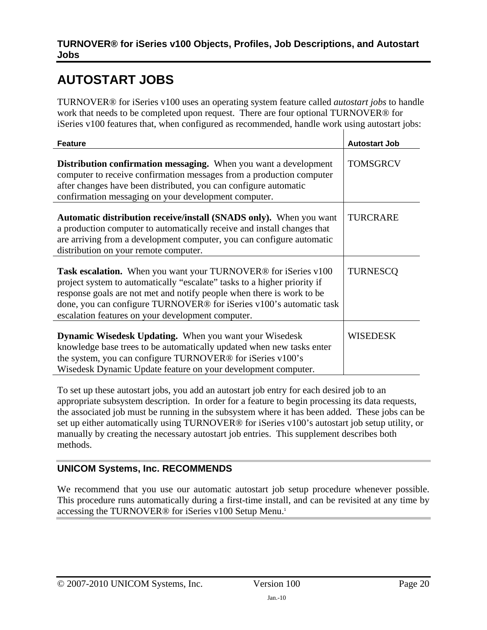# <span id="page-19-1"></span><span id="page-19-0"></span>**AUTOSTART JOBS**

TURNOVER® for iSeries v100 uses an operating system feature called *autostart jobs* to handle work that needs to be completed upon request. There are four optional TURNOVER® for iSeries v100 features that, when configured as recommended, handle work using autostart jobs:

| <b>Feature</b>                                                                                                                                                                                                                                                                                                                                                     | <b>Autostart Job</b> |
|--------------------------------------------------------------------------------------------------------------------------------------------------------------------------------------------------------------------------------------------------------------------------------------------------------------------------------------------------------------------|----------------------|
| <b>Distribution confirmation messaging.</b> When you want a development<br>computer to receive confirmation messages from a production computer<br>after changes have been distributed, you can configure automatic<br>confirmation messaging on your development computer.                                                                                        | <b>TOMSGRCV</b>      |
| <b>Automatic distribution receive/install (SNADS only).</b> When you want<br>a production computer to automatically receive and install changes that<br>are arriving from a development computer, you can configure automatic<br>distribution on your remote computer.                                                                                             | <b>TURCRARE</b>      |
| <b>Task escalation.</b> When you want your TURNOVER <sup>®</sup> for iSeries v100<br>project system to automatically "escalate" tasks to a higher priority if<br>response goals are not met and notify people when there is work to be<br>done, you can configure TURNOVER® for iSeries v100's automatic task<br>escalation features on your development computer. | <b>TURNESCO</b>      |
| <b>Dynamic Wisedesk Updating.</b> When you want your Wisedesk<br>knowledge base trees to be automatically updated when new tasks enter<br>the system, you can configure TURNOVER® for iSeries v100's<br>Wisedesk Dynamic Update feature on your development computer.                                                                                              | WISEDESK             |

To set up these autostart jobs, you add an autostart job entry for each desired job to an appropriate subsystem description. In order for a feature to begin processing its data requests, the associated job must be running in the subsystem where it has been added. These jobs can be set up either automatically using TURNOVER® for iSeries v100's autostart job setup utility, or manually by creating the necessary autostart job entries. This supplement describes both methods.

# **UNICOM Systems, Inc. RECOMMENDS**

We recommend that you use our automatic autostart job setup procedure whenever possible. This procedure runs automatically during a first-time install, and can be revisited at any time by accessing the TURNOVER® for iSeries v[1](#page-3-1)00 Setup Menu.<sup>1</sup>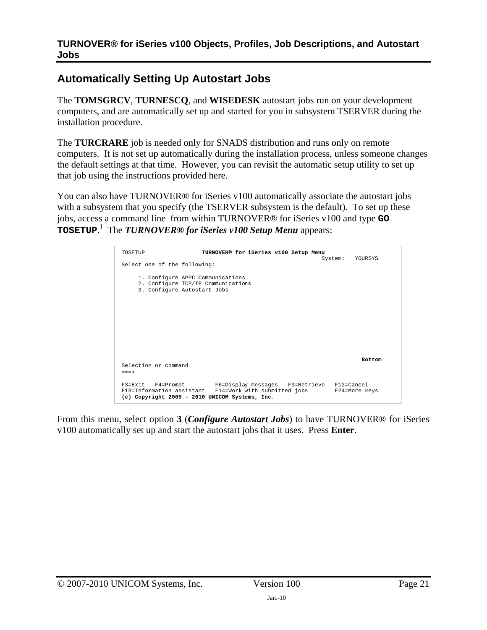# <span id="page-20-1"></span><span id="page-20-0"></span>**Automatically Setting Up Autostart Jobs**

The **TOMSGRCV**, **TURNESCQ**, and **WISEDESK** autostart jobs run on your development computers, and are automatically set up and started for you in subsystem TSERVER during the installation procedure.

The **TURCRARE** job is needed only for SNADS distribution and runs only on remote computers. It is not set up automatically during the installation process, unless someone changes the default settings at that time. However, you can revisit the automatic setup utility to set up that job using the instructions provided here.

You can also have TURNOVER® for iSeries v100 automatically associate the autostart jobs with a subsystem that you specify (the TSERVER subsystem is the default). To set up these jobs, access a command line from within TURNOVER® for iSeries v100 and type **GO TOSETUP**. [1](#page-3-1) The *TURNOVER® for iSeries v100 Setup Menu* appears:

| TOSETUP                                                                                               | TURNOVER® for iSeries v100 Setup Menu                                                                                                                                    |                 |
|-------------------------------------------------------------------------------------------------------|--------------------------------------------------------------------------------------------------------------------------------------------------------------------------|-----------------|
| Select one of the following:                                                                          |                                                                                                                                                                          | System: YOURSYS |
| 1. Configure APPC Communications<br>2. Configure TCP/IP Communications<br>3. Configure Autostart Jobs |                                                                                                                                                                          |                 |
| Selection or command<br>$=$ $=$ $>$                                                                   |                                                                                                                                                                          | <b>Bottom</b>   |
|                                                                                                       | F3=Exit F4=Prompt F6=Display messages F9=Retrieve F12=Cancel<br>F13=Information assistant F14=Work with submitted jobs<br>(c) Copyright 2005 - 2010 UNICOM Systems, Inc. | F24=More keys   |

From this menu, select option **3** (*Configure Autostart Jobs*) to have TURNOVER® for iSeries v100 automatically set up and start the autostart jobs that it uses. Press **Enter**.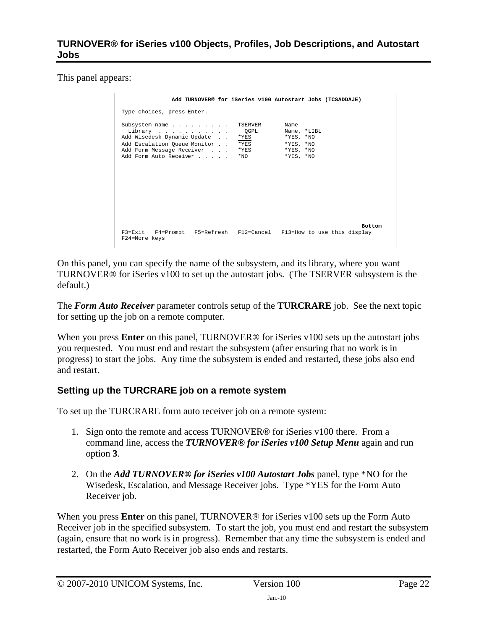This panel appears:

|                                                                                                                                                 | Add TURNOVER® for iSeries v100 Autostart Jobs (TCSADDAJE)                                                                                    |               |
|-------------------------------------------------------------------------------------------------------------------------------------------------|----------------------------------------------------------------------------------------------------------------------------------------------|---------------|
| Type choices, press Enter.                                                                                                                      |                                                                                                                                              |               |
| Subsystem name<br>Library<br>Add Wisedesk Dynamic Update<br>Add Escalation Oueue Monitor<br>Add Form Message Receiver<br>Add Form Auto Receiver | TSERVER<br>Name<br>OGPL<br>Name, *LIBL<br>$*$ YES, $*$ NO<br>*YES<br>$*YES$<br>*YES, *NO<br>$*YES$<br>*YES, *NO<br>*YES, *NO<br>$*_{\rm NO}$ |               |
| F3=Exit F4=Prompt F5=Refresh F12=Cancel F13=How to use this display<br>F24=More keys                                                            |                                                                                                                                              | <b>Bottom</b> |

On this panel, you can specify the name of the subsystem, and its library, where you want TURNOVER® for iSeries v100 to set up the autostart jobs. (The TSERVER subsystem is the default.)

The *Form Auto Receiver* parameter controls setup of the **TURCRARE** job. See the next topic for setting up the job on a remote computer.

When you press **Enter** on this panel, TURNOVER<sup>®</sup> for iSeries v100 sets up the autostart jobs you requested. You must end and restart the subsystem (after ensuring that no work is in progress) to start the jobs. Any time the subsystem is ended and restarted, these jobs also end and restart.

# **Setting up the TURCRARE job on a remote system**

To set up the TURCRARE form auto receiver job on a remote system:

- 1. Sign onto the remote and access TURNOVER® for iSeries v100 there. From a command line, access the *TURNOVER® for iSeries v100 Setup Menu* again and run option **3**.
- 2. On the *Add TURNOVER® for iSeries v100 Autostart Jobs* panel, type \*NO for the Wisedesk, Escalation, and Message Receiver jobs. Type \*YES for the Form Auto Receiver job.

When you press **Enter** on this panel, TURNOVER® for iSeries v100 sets up the Form Auto Receiver job in the specified subsystem. To start the job, you must end and restart the subsystem (again, ensure that no work is in progress). Remember that any time the subsystem is ended and restarted, the Form Auto Receiver job also ends and restarts.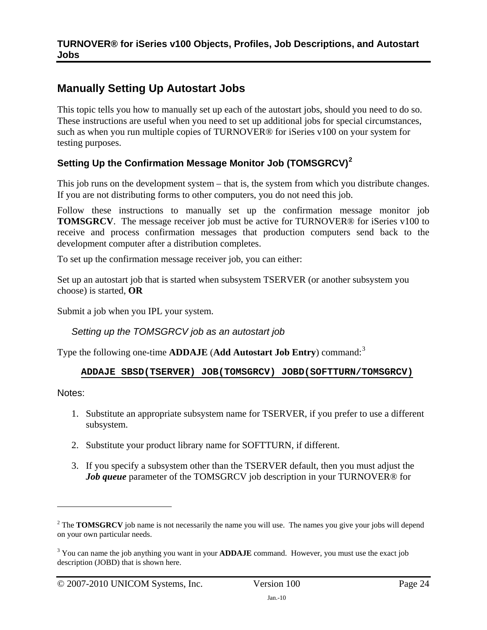# <span id="page-23-0"></span>**Manually Setting Up Autostart Jobs**

This topic tells you how to manually set up each of the autostart jobs, should you need to do so. These instructions are useful when you need to set up additional jobs for special circumstances, such as when you run multiple copies of TURNOVER® for iSeries v100 on your system for testing purposes.

# **Setting Up the Confirmation Message Monitor Job (TOMSGRCV)[2](#page-22-1)**

This job runs on the development system – that is, the system from which you distribute changes. If you are not distributing forms to other computers, you do not need this job.

Follow these instructions to manually set up the confirmation message monitor job **TOMSGRCV**. The message receiver job must be active for TURNOVER® for iSeries v100 to receive and process confirmation messages that production computers send back to the development computer after a distribution completes.

To set up the confirmation message receiver job, you can either:

Set up an autostart job that is started when subsystem TSERVER (or another subsystem you choose) is started, **OR**

Submit a job when you IPL your system.

*Setting up the TOMSGRCV job as an autostart job* 

Type the following one-time **ADDAJE** (**Add Autostart Job Entry**) command:[3](#page-22-2)

# **ADDAJE SBSD(TSERVER) JOB(TOMSGRCV) JOBD(SOFTTURN/TOMSGRCV)**

Notes:

- 1. Substitute an appropriate subsystem name for TSERVER, if you prefer to use a different subsystem.
- 2. Substitute your product library name for SOFTTURN, if different.
- 3. If you specify a subsystem other than the TSERVER default, then you must adjust the *Job queue* parameter of the TOMSGRCV job description in your TURNOVER<sup>®</sup> for

<sup>&</sup>lt;sup>2</sup> The **TOMSGRCV** job name is not necessarily the name you will use. The names you give your jobs will depend on your own particular needs.

<span id="page-23-1"></span><sup>&</sup>lt;sup>3</sup> You can name the job anything you want in your **ADDAJE** command. However, you must use the exact job description (JOBD) that is shown here.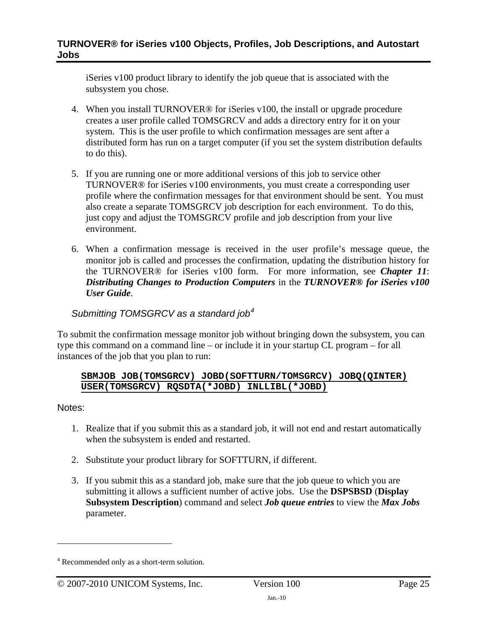iSeries v100 product library to identify the job queue that is associated with the subsystem you chose.

- 4. When you install TURNOVER® for iSeries v100, the install or upgrade procedure creates a user profile called TOMSGRCV and adds a directory entry for it on your system. This is the user profile to which confirmation messages are sent after a distributed form has run on a target computer (if you set the system distribution defaults to do this).
- 5. If you are running one or more additional versions of this job to service other TURNOVER® for iSeries v100 environments, you must create a corresponding user profile where the confirmation messages for that environment should be sent. You must also create a separate TOMSGRCV job description for each environment. To do this, just copy and adjust the TOMSGRCV profile and job description from your live environment.
- 6. When a confirmation message is received in the user profile's message queue, the monitor job is called and processes the confirmation, updating the distribution history for the TURNOVER® for iSeries v100 form. For more information, see *Chapter 11*: *Distributing Changes to Production Computers* in the *TURNOVER® for iSeries v100 User Guide*.

# *Submitting TOMSGRCV as a standard job[4](#page-23-1)*

To submit the confirmation message monitor job without bringing down the subsystem, you can type this command on a command line – or include it in your startup CL program – for all instances of the job that you plan to run:

#### **SBMJOB JOB(TOMSGRCV) JOBD(SOFTTURN/TOMSGRCV) JOBQ(QINTER) USER(TOMSGRCV) RQSDTA(\*JOBD) INLLIBL(\*JOBD)**

#### Notes:

- 1. Realize that if you submit this as a standard job, it will not end and restart automatically when the subsystem is ended and restarted.
- 2. Substitute your product library for SOFTTURN, if different.
- 3. If you submit this as a standard job, make sure that the job queue to which you are submitting it allows a sufficient number of active jobs. Use the **DSPSBSD** (**Display Subsystem Description**) command and select *Job queue entries* to view the *Max Jobs*  parameter.

<sup>&</sup>lt;sup>4</sup> Recommended only as a short-term solution.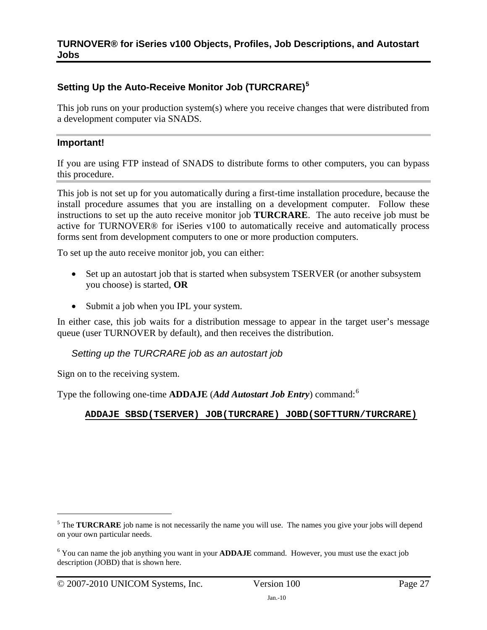# **Setting Up the Auto-Receive Monitor Job (TURCRARE)[5](#page-25-0)**

This job runs on your production system(s) where you receive changes that were distributed from a development computer via SNADS.

## **Important!**

If you are using FTP instead of SNADS to distribute forms to other computers, you can bypass this procedure.

This job is not set up for you automatically during a first-time installation procedure, because the install procedure assumes that you are installing on a development computer. Follow these instructions to set up the auto receive monitor job **TURCRARE**. The auto receive job must be active for TURNOVER® for iSeries v100 to automatically receive and automatically process forms sent from development computers to one or more production computers.

To set up the auto receive monitor job, you can either:

- Set up an autostart job that is started when subsystem TSERVER (or another subsystem you choose) is started, **OR**
- Submit a job when you IPL your system.

In either case, this job waits for a distribution message to appear in the target user's message queue (user TURNOVER by default), and then receives the distribution.

#### *Setting up the TURCRARE job as an autostart job*

Sign on to the receiving system.

Type the following one-time **ADDAJE** (*Add Autostart Job Entry*) command:[6](#page-25-1)

#### **ADDAJE SBSD(TSERVER) JOB(TURCRARE) JOBD(SOFTTURN/TURCRARE)**

<span id="page-26-0"></span><sup>&</sup>lt;sup>5</sup> The **TURCRARE** job name is not necessarily the name you will use. The names you give your jobs will depend on your own particular needs.

<span id="page-26-1"></span><sup>&</sup>lt;sup>6</sup> You can name the job anything you want in your **ADDAJE** command. However, you must use the exact job description (JOBD) that is shown here.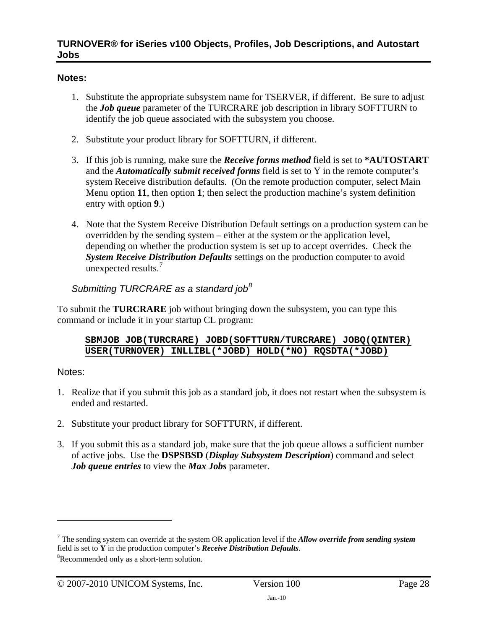# **Notes:**

- 1. Substitute the appropriate subsystem name for TSERVER, if different. Be sure to adjust the *Job queue* parameter of the TURCRARE job description in library SOFTTURN to identify the job queue associated with the subsystem you choose.
- 2. Substitute your product library for SOFTTURN, if different.
- 3. If this job is running, make sure the *Receive forms method* field is set to **\*AUTOSTART** and the *Automatically submit received forms* field is set to Y in the remote computer's system Receive distribution defaults. (On the remote production computer, select Main Menu option **11**, then option **1**; then select the production machine's system definition entry with option **9**.)
- 4. Note that the System Receive Distribution Default settings on a production system can be overridden by the sending system – either at the system or the application level, depending on whether the production system is set up to accept overrides. Check the *System Receive Distribution Defaults* settings on the production computer to avoid unexpected results.<sup>[7](#page-26-0)</sup>

# *Submitting TURCRARE as a standard job[8](#page-26-1)*

To submit the **TURCRARE** job without bringing down the subsystem, you can type this command or include it in your startup CL program:

#### **SBMJOB JOB(TURCRARE) JOBD(SOFTTURN/TURCRARE) JOBQ(QINTER) USER(TURNOVER) INLLIBL(\*JOBD) HOLD(\*NO) RQSDTA(\*JOBD)**

# Notes:

- 1. Realize that if you submit this job as a standard job, it does not restart when the subsystem is ended and restarted.
- 2. Substitute your product library for SOFTTURN, if different.
- 3. If you submit this as a standard job, make sure that the job queue allows a sufficient number of active jobs. Use the **DSPSBSD** (*Display Subsystem Description*) command and select *Job queue entries* to view the *Max Jobs* parameter.

<span id="page-27-0"></span><sup>7</sup> The sending system can override at the system OR application level if the *Allow override from sending system* field is set to **Y** in the production computer's *Receive Distribution Defaults*. 8

<span id="page-27-1"></span>Recommended only as a short-term solution.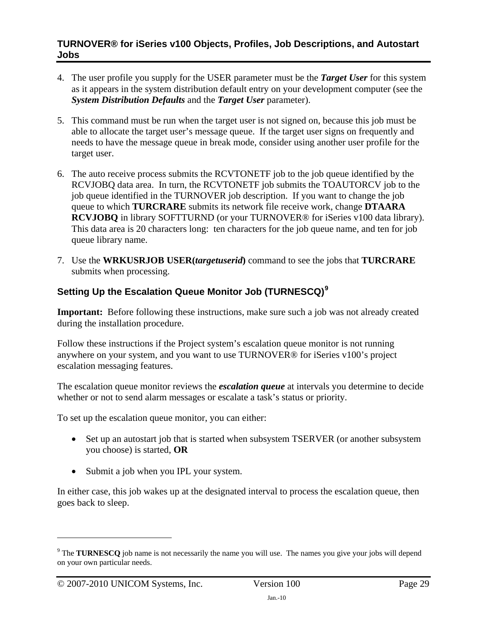- 4. The user profile you supply for the USER parameter must be the *Target User* for this system as it appears in the system distribution default entry on your development computer (see the *System Distribution Defaults* and the *Target User* parameter).
- 5. This command must be run when the target user is not signed on, because this job must be able to allocate the target user's message queue. If the target user signs on frequently and needs to have the message queue in break mode, consider using another user profile for the target user.
- 6. The auto receive process submits the RCVTONETF job to the job queue identified by the RCVJOBQ data area. In turn, the RCVTONETF job submits the TOAUTORCV job to the job queue identified in the TURNOVER job description. If you want to change the job queue to which **TURCRARE** submits its network file receive work, change **DTAARA RCVJOBQ** in library SOFTTURND (or your TURNOVER® for iSeries v100 data library). This data area is 20 characters long: ten characters for the job queue name, and ten for job queue library name.
- 7. Use the **WRKUSRJOB USER(***targetuserid***)** command to see the jobs that **TURCRARE**  submits when processing.

# **Setting Up the Escalation Queue Monitor Job (TURNESCQ)[9](#page-27-0)**

**Important:** Before following these instructions, make sure such a job was not already created during the installation procedure.

Follow these instructions if the Project system's escalation queue monitor is not running anywhere on your system, and you want to use TURNOVER® for iSeries v100's project escalation messaging features.

The escalation queue monitor reviews the *escalation queue* at intervals you determine to decide whether or not to send alarm messages or escalate a task's status or priority.

To set up the escalation queue monitor, you can either:

- Set up an autostart job that is started when subsystem TSERVER (or another subsystem you choose) is started, **OR**
- Submit a job when you IPL your system.

In either case, this job wakes up at the designated interval to process the escalation queue, then goes back to sleep.

<sup>&</sup>lt;sup>9</sup> The **TURNESCQ** job name is not necessarily the name you will use. The names you give your jobs will depend on your own particular needs.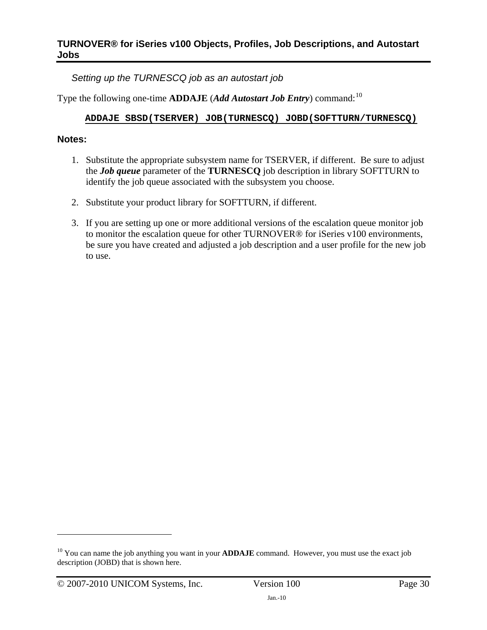*Setting up the TURNESCQ job as an autostart job* 

Type the following one-time **ADDAJE** (*Add Autostart Job Entry*) command:<sup>[10](#page-27-1)</sup>

## **ADDAJE SBSD(TSERVER) JOB(TURNESCQ) JOBD(SOFTTURN/TURNESCQ)**

## **Notes:**

- 1. Substitute the appropriate subsystem name for TSERVER, if different. Be sure to adjust the *Job queue* parameter of the **TURNESCQ** job description in library SOFTTURN to identify the job queue associated with the subsystem you choose.
- 2. Substitute your product library for SOFTTURN, if different.
- 3. If you are setting up one or more additional versions of the escalation queue monitor job to monitor the escalation queue for other TURNOVER® for iSeries v100 environments, be sure you have created and adjusted a job description and a user profile for the new job to use.

<span id="page-29-0"></span><sup>&</sup>lt;sup>10</sup> You can name the job anything you want in your **ADDAJE** command. However, you must use the exact job description (JOBD) that is shown here.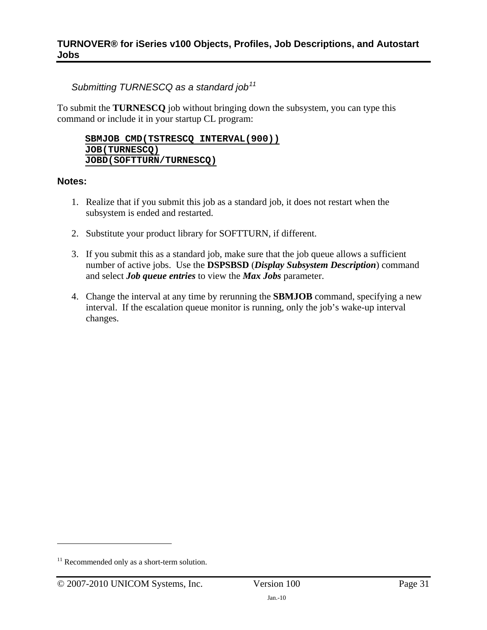# *Submitting TURNESCQ as a standard job[11](#page-29-0)*

To submit the **TURNESCQ** job without bringing down the subsystem, you can type this command or include it in your startup CL program:

#### **SBMJOB CMD(TSTRESCQ INTERVAL(900)) JOB(TURNESCQ) JOBD(SOFTTURN/TURNESCQ)**

#### **Notes:**

- 1. Realize that if you submit this job as a standard job, it does not restart when the subsystem is ended and restarted.
- 2. Substitute your product library for SOFTTURN, if different.
- 3. If you submit this as a standard job, make sure that the job queue allows a sufficient number of active jobs. Use the **DSPSBSD** (*Display Subsystem Description*) command and select *Job queue entries* to view the *Max Jobs* parameter.
- 4. Change the interval at any time by rerunning the **SBMJOB** command, specifying a new interval. If the escalation queue monitor is running, only the job's wake-up interval changes.

<span id="page-30-1"></span><span id="page-30-0"></span> $11$  Recommended only as a short-term solution.